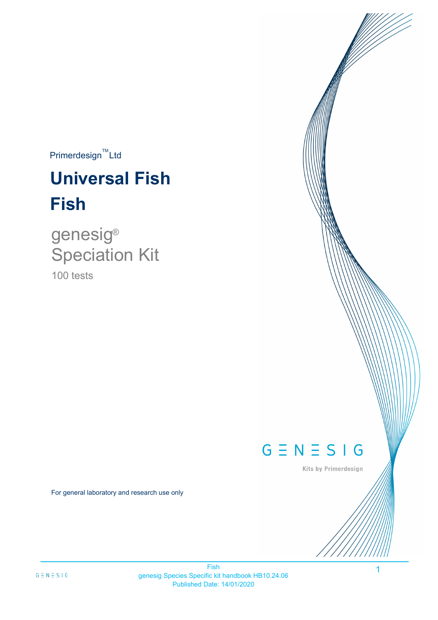$Primerdesign^{\text{TM}}$ Ltd

# **Universal Fish Fish**

100 tests genesig ® Speciation Kit

 $G \equiv N \equiv S \mid G$ 

Kits by Primerdesign

1

For general laboratory and research use only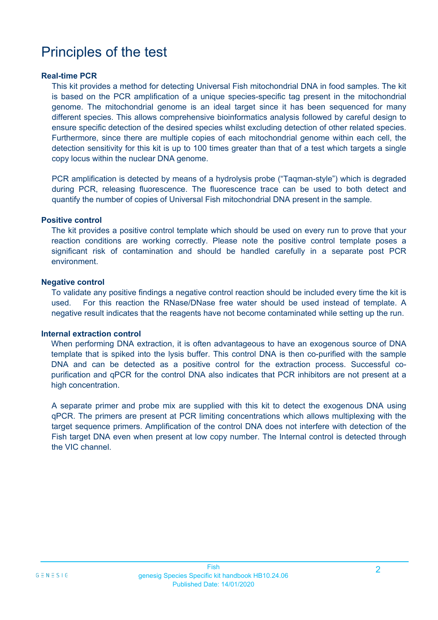# Principles of the test

### **Real-time PCR**

This kit provides a method for detecting Universal Fish mitochondrial DNA in food samples. The kit is based on the PCR amplification of a unique species-specific tag present in the mitochondrial genome. The mitochondrial genome is an ideal target since it has been sequenced for many different species. This allows comprehensive bioinformatics analysis followed by careful design to ensure specific detection of the desired species whilst excluding detection of other related species. Furthermore, since there are multiple copies of each mitochondrial genome within each cell, the detection sensitivity for this kit is up to 100 times greater than that of a test which targets a single copy locus within the nuclear DNA genome.

PCR amplification is detected by means of a hydrolysis probe ("Taqman-style") which is degraded during PCR, releasing fluorescence. The fluorescence trace can be used to both detect and quantify the number of copies of Universal Fish mitochondrial DNA present in the sample.

#### **Positive control**

The kit provides a positive control template which should be used on every run to prove that your reaction conditions are working correctly. Please note the positive control template poses a significant risk of contamination and should be handled carefully in a separate post PCR environment.

#### **Negative control**

To validate any positive findings a negative control reaction should be included every time the kit is used. For this reaction the RNase/DNase free water should be used instead of template. A negative result indicates that the reagents have not become contaminated while setting up the run.

#### **Internal extraction control**

When performing DNA extraction, it is often advantageous to have an exogenous source of DNA template that is spiked into the lysis buffer. This control DNA is then co-purified with the sample DNA and can be detected as a positive control for the extraction process. Successful copurification and qPCR for the control DNA also indicates that PCR inhibitors are not present at a high concentration.

A separate primer and probe mix are supplied with this kit to detect the exogenous DNA using qPCR. The primers are present at PCR limiting concentrations which allows multiplexing with the target sequence primers. Amplification of the control DNA does not interfere with detection of the Fish target DNA even when present at low copy number. The Internal control is detected through the VIC channel.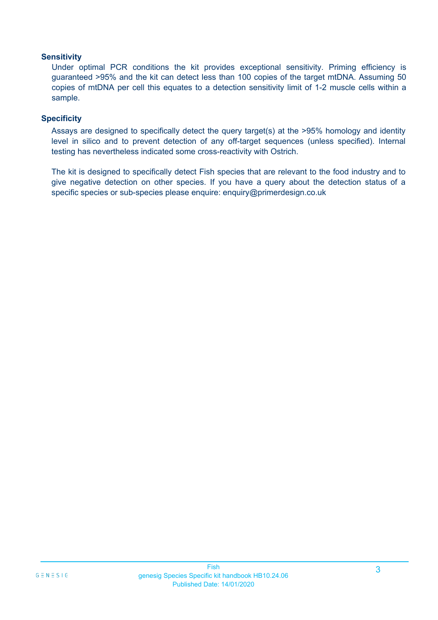### **Sensitivity**

Under optimal PCR conditions the kit provides exceptional sensitivity. Priming efficiency is guaranteed >95% and the kit can detect less than 100 copies of the target mtDNA. Assuming 50 copies of mtDNA per cell this equates to a detection sensitivity limit of 1-2 muscle cells within a sample.

### **Specificity**

Assays are designed to specifically detect the query target(s) at the >95% homology and identity level in silico and to prevent detection of any off-target sequences (unless specified). Internal testing has nevertheless indicated some cross-reactivity with Ostrich.

The kit is designed to specifically detect Fish species that are relevant to the food industry and to give negative detection on other species. If you have a query about the detection status of a specific species or sub-species please enquire: enquiry@primerdesign.co.uk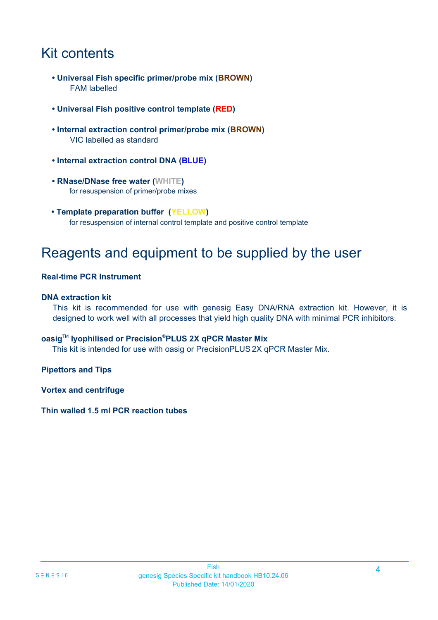# Kit contents

- **Universal Fish specific primer/probe mix (BROWN)** FAM labelled
- **Universal Fish positive control template (RED)**
- **Internal extraction control primer/probe mix (BROWN)** VIC labelled as standard
- **Internal extraction control DNA (BLUE)**
- **RNase/DNase free water (WHITE)** for resuspension of primer/probe mixes
- **Template preparation buffer (YELLOW)** for resuspension of internal control template and positive control template

# Reagents and equipment to be supplied by the user

### **Real-time PCR Instrument**

#### **DNA extraction kit**

This kit is recommended for use with genesig Easy DNA/RNA extraction kit. However, it is designed to work well with all processes that yield high quality DNA with minimal PCR inhibitors.

### **oasig**TM **lyophilised or Precision**®**PLUS 2X qPCR Master Mix**

This kit is intended for use with oasig or PrecisionPLUS 2X qPCR Master Mix.

**Pipettors and Tips**

**Vortex and centrifuge**

#### **Thin walled 1.5 ml PCR reaction tubes**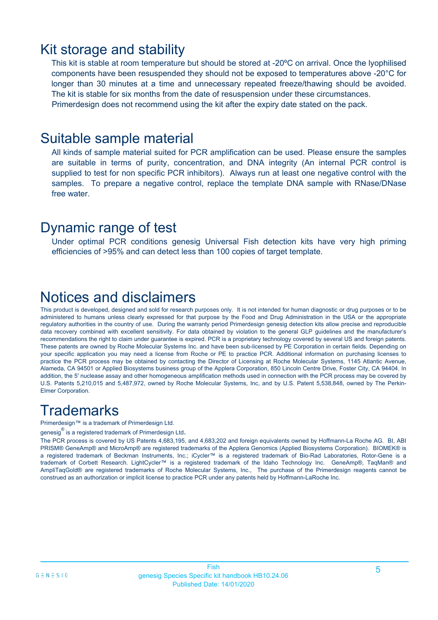### Kit storage and stability

This kit is stable at room temperature but should be stored at -20ºC on arrival. Once the lyophilised components have been resuspended they should not be exposed to temperatures above -20°C for longer than 30 minutes at a time and unnecessary repeated freeze/thawing should be avoided. The kit is stable for six months from the date of resuspension under these circumstances. Primerdesign does not recommend using the kit after the expiry date stated on the pack.

### Suitable sample material

All kinds of sample material suited for PCR amplification can be used. Please ensure the samples are suitable in terms of purity, concentration, and DNA integrity (An internal PCR control is supplied to test for non specific PCR inhibitors). Always run at least one negative control with the samples. To prepare a negative control, replace the template DNA sample with RNase/DNase free water.

### Dynamic range of test

Under optimal PCR conditions genesig Universal Fish detection kits have very high priming efficiencies of >95% and can detect less than 100 copies of target template.

### Notices and disclaimers

This product is developed, designed and sold for research purposes only. It is not intended for human diagnostic or drug purposes or to be administered to humans unless clearly expressed for that purpose by the Food and Drug Administration in the USA or the appropriate regulatory authorities in the country of use. During the warranty period Primerdesign genesig detection kits allow precise and reproducible data recovery combined with excellent sensitivity. For data obtained by violation to the general GLP guidelines and the manufacturer's recommendations the right to claim under guarantee is expired. PCR is a proprietary technology covered by several US and foreign patents. These patents are owned by Roche Molecular Systems Inc. and have been sub-licensed by PE Corporation in certain fields. Depending on your specific application you may need a license from Roche or PE to practice PCR. Additional information on purchasing licenses to practice the PCR process may be obtained by contacting the Director of Licensing at Roche Molecular Systems, 1145 Atlantic Avenue, Alameda, CA 94501 or Applied Biosystems business group of the Applera Corporation, 850 Lincoln Centre Drive, Foster City, CA 94404. In addition, the 5' nuclease assay and other homogeneous amplification methods used in connection with the PCR process may be covered by U.S. Patents 5,210,015 and 5,487,972, owned by Roche Molecular Systems, Inc, and by U.S. Patent 5,538,848, owned by The Perkin-Elmer Corporation.

# Trademarks

Primerdesign™ is a trademark of Primerdesign Ltd.

genesig $^\circledR$  is a registered trademark of Primerdesign Ltd.

The PCR process is covered by US Patents 4,683,195, and 4,683,202 and foreign equivalents owned by Hoffmann-La Roche AG. BI, ABI PRISM® GeneAmp® and MicroAmp® are registered trademarks of the Applera Genomics (Applied Biosystems Corporation). BIOMEK® is a registered trademark of Beckman Instruments, Inc.; iCycler™ is a registered trademark of Bio-Rad Laboratories, Rotor-Gene is a trademark of Corbett Research. LightCycler™ is a registered trademark of the Idaho Technology Inc. GeneAmp®, TaqMan® and AmpliTaqGold® are registered trademarks of Roche Molecular Systems, Inc., The purchase of the Primerdesign reagents cannot be construed as an authorization or implicit license to practice PCR under any patents held by Hoffmann-LaRoche Inc.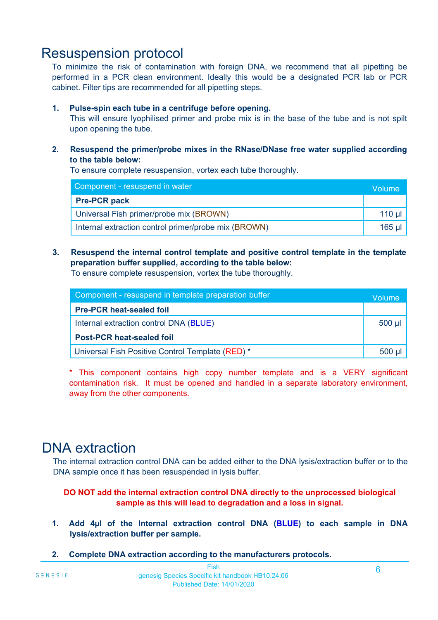## Resuspension protocol

To minimize the risk of contamination with foreign DNA, we recommend that all pipetting be performed in a PCR clean environment. Ideally this would be a designated PCR lab or PCR cabinet. Filter tips are recommended for all pipetting steps.

#### **1. Pulse-spin each tube in a centrifuge before opening.**

This will ensure lyophilised primer and probe mix is in the base of the tube and is not spilt upon opening the tube.

### **2. Resuspend the primer/probe mixes in the RNase/DNase free water supplied according to the table below:**

To ensure complete resuspension, vortex each tube thoroughly.

| Component - resuspend in water                       | Volume    |
|------------------------------------------------------|-----------|
| <b>Pre-PCR pack</b>                                  |           |
| Universal Fish primer/probe mix (BROWN)              | $110 \mu$ |
| Internal extraction control primer/probe mix (BROWN) | 165 µI    |

### **3. Resuspend the internal control template and positive control template in the template preparation buffer supplied, according to the table below:**

To ensure complete resuspension, vortex the tube thoroughly.

| Component - resuspend in template preparation buffer |         |  |
|------------------------------------------------------|---------|--|
| <b>Pre-PCR heat-sealed foil</b>                      |         |  |
| Internal extraction control DNA (BLUE)               | $500$ µ |  |
| <b>Post-PCR heat-sealed foil</b>                     |         |  |
| Universal Fish Positive Control Template (RED) *     | $500$ µ |  |

\* This component contains high copy number template and is a VERY significant contamination risk. It must be opened and handled in a separate laboratory environment, away from the other components.

### DNA extraction

The internal extraction control DNA can be added either to the DNA lysis/extraction buffer or to the DNA sample once it has been resuspended in lysis buffer.

**DO NOT add the internal extraction control DNA directly to the unprocessed biological sample as this will lead to degradation and a loss in signal.**

- **1. Add 4µl of the Internal extraction control DNA (BLUE) to each sample in DNA lysis/extraction buffer per sample.**
- **2. Complete DNA extraction according to the manufacturers protocols.**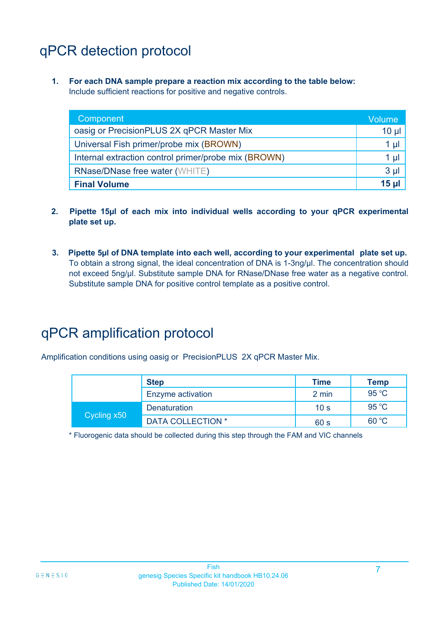# qPCR detection protocol

**1. For each DNA sample prepare a reaction mix according to the table below:** Include sufficient reactions for positive and negative controls.

| Component                                            | Volume          |
|------------------------------------------------------|-----------------|
| oasig or PrecisionPLUS 2X qPCR Master Mix            | 10 <sub>µ</sub> |
| Universal Fish primer/probe mix (BROWN)              | 1 µl            |
| Internal extraction control primer/probe mix (BROWN) | 1 µl            |
| <b>RNase/DNase free water (WHITE)</b>                | $3 \mu$         |
| <b>Final Volume</b>                                  | 15 ul           |

- **2. Pipette 15µl of each mix into individual wells according to your qPCR experimental plate set up.**
- **3. Pipette 5µl of DNA template into each well, according to your experimental plate set up.** To obtain a strong signal, the ideal concentration of DNA is 1-3ng/µl. The concentration should not exceed 5ng/µl. Substitute sample DNA for RNase/DNase free water as a negative control. Substitute sample DNA for positive control template as a positive control.

# qPCR amplification protocol

Amplification conditions using oasig or PrecisionPLUS 2X qPCR Master Mix.

|             | <b>Step</b>         | <b>Time</b>     | Temp           |
|-------------|---------------------|-----------------|----------------|
|             | Enzyme activation   | 2 min           | 95 $°C$        |
| Cycling x50 | <b>Denaturation</b> | 10 <sub>s</sub> | $95^{\circ}$ C |
|             | DATA COLLECTION *   | 60 s            | 60 °C          |

\* Fluorogenic data should be collected during this step through the FAM and VIC channels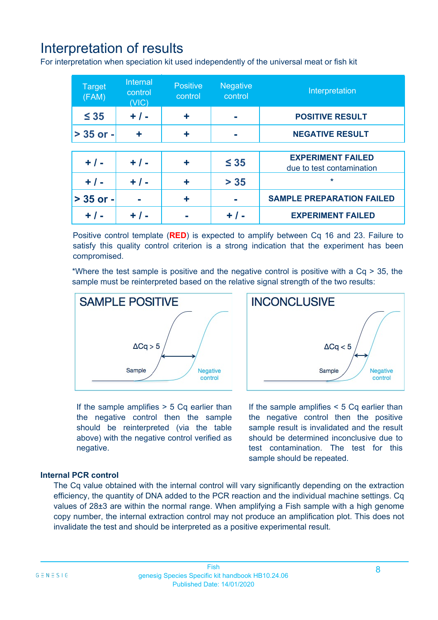# Interpretation of results

For interpretation when speciation kit used independently of the universal meat or fish kit

| <b>Target</b><br>(FAM) | <b>Internal</b><br>control<br>(VIC) | <b>Positive</b><br>control | <b>Negative</b><br>control | Interpretation                                        |
|------------------------|-------------------------------------|----------------------------|----------------------------|-------------------------------------------------------|
| $\leq 35$              | $+ 1 -$                             | ٠                          |                            | <b>POSITIVE RESULT</b>                                |
| $> 35$ or -            | ٠                                   | ٠                          |                            | <b>NEGATIVE RESULT</b>                                |
|                        |                                     |                            |                            |                                                       |
| $+$ / -                | $+ 1 -$                             | ٠                          | $\leq 35$                  | <b>EXPERIMENT FAILED</b><br>due to test contamination |
| $+ 1 -$                | $+ 1 -$                             | ٠                          | $> 35$                     | $\star$                                               |
| $> 35$ or -            |                                     | ٠                          |                            | <b>SAMPLE PREPARATION FAILED</b>                      |
| $+1$                   | $+$ / -                             |                            | $+1-$                      | <b>EXPERIMENT FAILED</b>                              |

Positive control template (**RED**) is expected to amplify between Cq 16 and 23. Failure to satisfy this quality control criterion is a strong indication that the experiment has been compromised.

\*Where the test sample is positive and the negative control is positive with a  $Cq > 35$ , the sample must be reinterpreted based on the relative signal strength of the two results:



If the sample amplifies > 5 Cq earlier than the negative control then the sample should be reinterpreted (via the table above) with the negative control verified as negative.

**INCONCLUSIVE**  $\Delta$ Cq < 5 Negative Sample control

If the sample amplifies < 5 Cq earlier than the negative control then the positive sample result is invalidated and the result should be determined inconclusive due to test contamination. The test for this sample should be repeated.

### **Internal PCR control**

The Cq value obtained with the internal control will vary significantly depending on the extraction efficiency, the quantity of DNA added to the PCR reaction and the individual machine settings. Cq values of 28±3 are within the normal range. When amplifying a Fish sample with a high genome copy number, the internal extraction control may not produce an amplification plot. This does not invalidate the test and should be interpreted as a positive experimental result.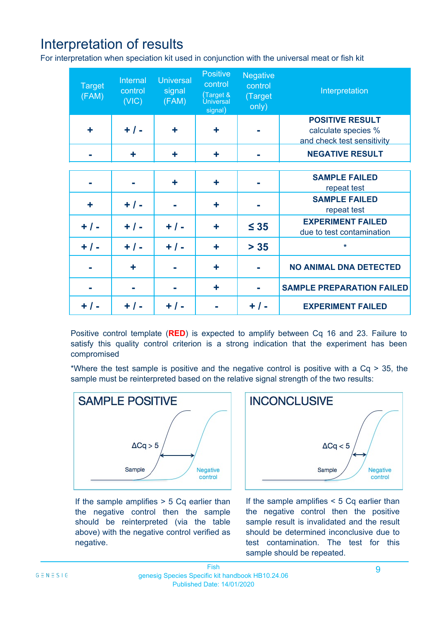### Interpretation of results

For interpretation when speciation kit used in conjunction with the universal meat or fish kit

| <b>Target</b><br>(FAM) | Internal<br>control<br>(VIC) | <b>Universal</b><br>signal<br>(FAM) | <b>Positive</b><br>control<br>(Target &<br>Universal<br>signal) | <b>Negative</b><br>control<br>(Target<br>only) | Interpretation                                                              |
|------------------------|------------------------------|-------------------------------------|-----------------------------------------------------------------|------------------------------------------------|-----------------------------------------------------------------------------|
| ÷                      | $+$ / -                      | ÷                                   | ٠                                                               |                                                | <b>POSITIVE RESULT</b><br>calculate species %<br>and check test sensitivity |
|                        | ٠                            | ╋                                   | ٠                                                               |                                                | <b>NEGATIVE RESULT</b>                                                      |
|                        |                              | ٠                                   | ٠                                                               |                                                | <b>SAMPLE FAILED</b><br>repeat test                                         |
| ÷                      | $+ / -$                      |                                     | ٠                                                               |                                                | <b>SAMPLE FAILED</b><br>repeat test                                         |
| $+$ / -                | $+$ / -                      | $+ / -$                             | ٠                                                               | $\leq 35$                                      | <b>EXPERIMENT FAILED</b><br>due to test contamination                       |
| $+$ / -                | $+$ / -                      | $+$ / -                             | ٠                                                               | $> 35$                                         | $\star$                                                                     |
|                        | ٠                            |                                     | ٠                                                               |                                                | <b>NO ANIMAL DNA DETECTED</b>                                               |
|                        |                              |                                     | ٠                                                               |                                                | <b>SAMPLE PREPARATION FAILED</b>                                            |
| $+$ / -                | + / -                        | + / -                               |                                                                 | $+$ / -                                        | <b>EXPERIMENT FAILED</b>                                                    |

Positive control template (**RED**) is expected to amplify between Cq 16 and 23. Failure to satisfy this quality control criterion is a strong indication that the experiment has been compromised

\*Where the test sample is positive and the negative control is positive with a  $Cq > 35$ , the sample must be reinterpreted based on the relative signal strength of the two results:



If the sample amplifies  $> 5$  Cq earlier than the negative control then the sample should be reinterpreted (via the table above) with the negative control verified as negative.



If the sample amplifies < 5 Cq earlier than the negative control then the positive sample result is invalidated and the result should be determined inconclusive due to test contamination. The test for this sample should be repeated.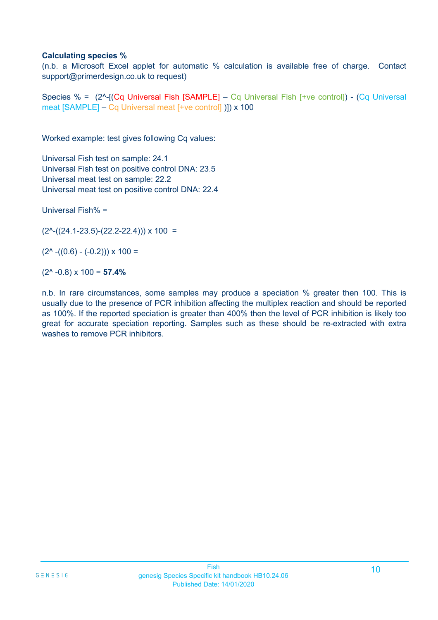#### **Calculating species %**

(n.b. a Microsoft Excel applet for automatic % calculation is available free of charge. Contact support@primerdesign.co.uk to request)

Species % = (2^-[(Cq Universal Fish [SAMPLE] – Cq Universal Fish [+ve control]) - (Cq Universal meat [SAMPLE] – Cq Universal meat [+ve control] )]) x 100

Worked example: test gives following Cq values:

Universal Fish test on sample: 24.1 Universal Fish test on positive control DNA: 23.5 Universal meat test on sample: 22.2 Universal meat test on positive control DNA: 22.4

Universal Fish% =

 $(2^{\lambda}-(24.1-23.5)-(22.2-22.4))) \times 100 =$ 

 $(2^{\wedge}$  -((0.6) - (-0.2))) x 100 =

(2^ -0.8) x 100 = **57.4%**

n.b. In rare circumstances, some samples may produce a speciation % greater then 100. This is usually due to the presence of PCR inhibition affecting the multiplex reaction and should be reported as 100%. If the reported speciation is greater than 400% then the level of PCR inhibition is likely too great for accurate speciation reporting. Samples such as these should be re-extracted with extra washes to remove PCR inhibitors.